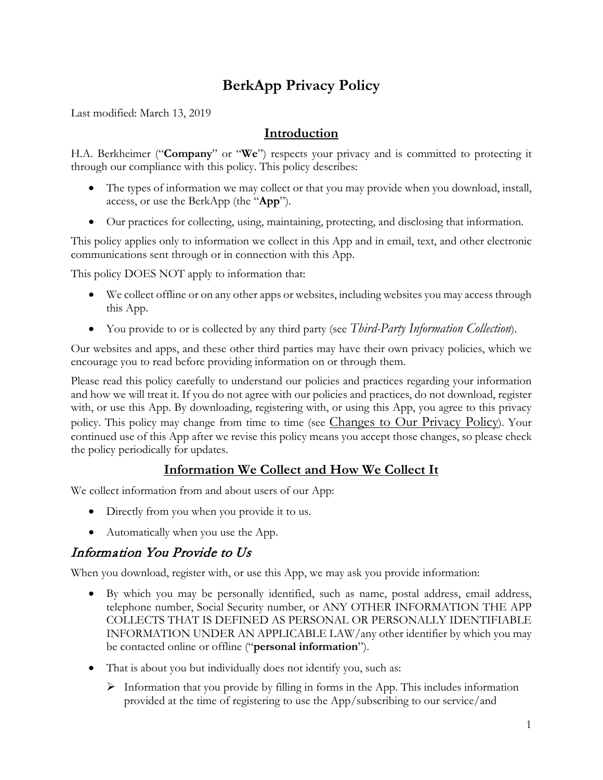# **BerkApp Privacy Policy**

Last modified: March 13, 2019

#### **Introduction**

H.A. Berkheimer ("**Company**" or "**We**") respects your privacy and is committed to protecting it through our compliance with this policy. This policy describes:

- The types of information we may collect or that you may provide when you download, install, access, or use the BerkApp (the "**App**").
- Our practices for collecting, using, maintaining, protecting, and disclosing that information.

This policy applies only to information we collect in this App and in email, text, and other electronic communications sent through or in connection with this App.

This policy DOES NOT apply to information that:

- We collect offline or on any other apps or websites, including websites you may access through this App.
- You provide to or is collected by any third party (see *[Third-Party Information Collection](#page-2-0)*).

Our websites and apps, and these other third parties may have their own privacy policies, which we encourage you to read before providing information on or through them.

Please read this policy carefully to understand our policies and practices regarding your information and how we will treat it. If you do not agree with our policies and practices, do not download, register with, or use this App. By downloading, registering with, or using this App, you agree to this privacy policy. This policy may change from time to time (see [Changes to Our Privacy Policy\)](#page-3-0). Your continued use of this App after we revise this policy means you accept those changes, so please check the policy periodically for updates.

# **Information We Collect and How We Collect It**

We collect information from and about users of our App:

- Directly from you when you provide it to us.
- Automatically when you use the App.

# Information You Provide to Us

When you download, register with, or use this App, we may ask you provide information:

- By which you may be personally identified, such as name, postal address, email address, telephone number, Social Security number, or ANY OTHER INFORMATION THE APP COLLECTS THAT IS DEFINED AS PERSONAL OR PERSONALLY IDENTIFIABLE INFORMATION UNDER AN APPLICABLE LAW/any other identifier by which you may be contacted online or offline ("**personal information**").
- That is about you but individually does not identify you, such as:
	- $\triangleright$  Information that you provide by filling in forms in the App. This includes information provided at the time of registering to use the App/subscribing to our service/and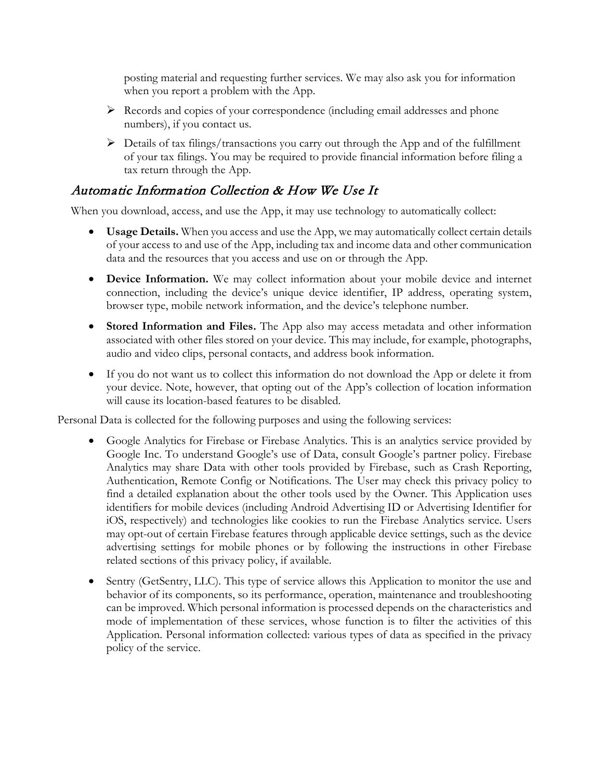posting material and requesting further services. We may also ask you for information when you report a problem with the App.

- Records and copies of your correspondence (including email addresses and phone numbers), if you contact us.
- $\triangleright$  Details of tax filings/transactions you carry out through the App and of the fulfillment of your tax filings. You may be required to provide financial information before filing a tax return through the App.

# Automatic Information Collection & How We Use It

When you download, access, and use the App, it may use technology to automatically collect:

- **Usage Details.** When you access and use the App, we may automatically collect certain details of your access to and use of the App, including tax and income data and other communication data and the resources that you access and use on or through the App.
- **Device Information.** We may collect information about your mobile device and internet connection, including the device's unique device identifier, IP address, operating system, browser type, mobile network information, and the device's telephone number.
- **Stored Information and Files.** The App also may access metadata and other information associated with other files stored on your device. This may include, for example, photographs, audio and video clips, personal contacts, and address book information.
- If you do not want us to collect this information do not download the App or delete it from your device. Note, however, that opting out of the App's collection of location information will cause its location-based features to be disabled.

Personal Data is collected for the following purposes and using the following services:

- Google Analytics for Firebase or Firebase Analytics. This is an analytics service provided by Google Inc. To understand Google's use of Data, consult Google's partner policy. Firebase Analytics may share Data with other tools provided by Firebase, such as Crash Reporting, Authentication, Remote Config or Notifications. The User may check this privacy policy to find a detailed explanation about the other tools used by the Owner. This Application uses identifiers for mobile devices (including Android Advertising ID or Advertising Identifier for iOS, respectively) and technologies like cookies to run the Firebase Analytics service. Users may opt-out of certain Firebase features through applicable device settings, such as the device advertising settings for mobile phones or by following the instructions in other Firebase related sections of this privacy policy, if available.
- Sentry (GetSentry, LLC). This type of service allows this Application to monitor the use and behavior of its components, so its performance, operation, maintenance and troubleshooting can be improved. Which personal information is processed depends on the characteristics and mode of implementation of these services, whose function is to filter the activities of this Application. Personal information collected: various types of data as specified in the privacy policy of the service.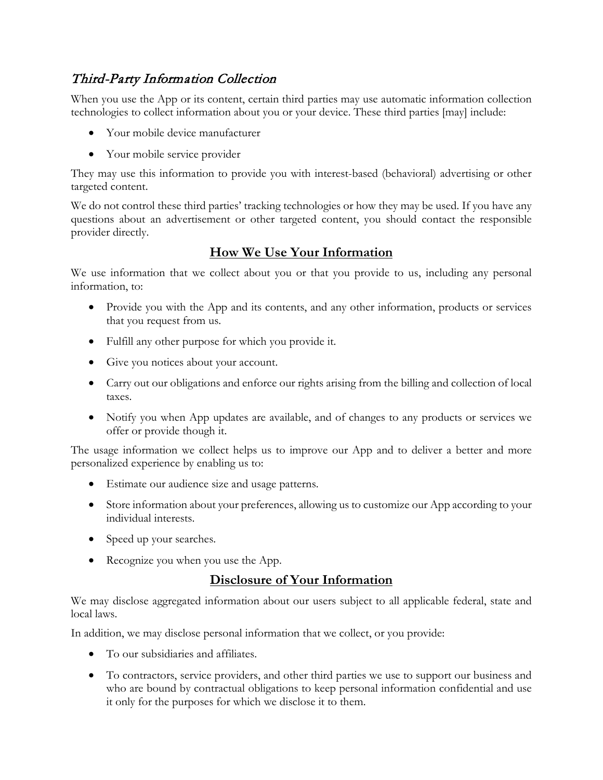# <span id="page-2-0"></span>Third-Party Information Collection

When you use the App or its content, certain third parties may use automatic information collection technologies to collect information about you or your device. These third parties [may] include:

- Your mobile device manufacturer
- Your mobile service provider

They may use this information to provide you with interest-based (behavioral) advertising or other targeted content.

We do not control these third parties' tracking technologies or how they may be used. If you have any questions about an advertisement or other targeted content, you should contact the responsible provider directly.

### **How We Use Your Information**

We use information that we collect about you or that you provide to us, including any personal information, to:

- Provide you with the App and its contents, and any other information, products or services that you request from us.
- Fulfill any other purpose for which you provide it.
- Give you notices about your account.
- Carry out our obligations and enforce our rights arising from the billing and collection of local taxes.
- Notify you when App updates are available, and of changes to any products or services we offer or provide though it.

The usage information we collect helps us to improve our App and to deliver a better and more personalized experience by enabling us to:

- Estimate our audience size and usage patterns.
- Store information about your preferences, allowing us to customize our App according to your individual interests.
- Speed up your searches.
- Recognize you when you use the App.

# **Disclosure of Your Information**

We may disclose aggregated information about our users subject to all applicable federal, state and local laws.

In addition, we may disclose personal information that we collect, or you provide:

- To our subsidiaries and affiliates.
- To contractors, service providers, and other third parties we use to support our business and who are bound by contractual obligations to keep personal information confidential and use it only for the purposes for which we disclose it to them.